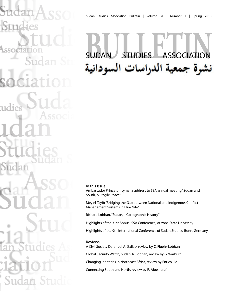# SUDAN STUDIES ASSOCIATIONنشرة جمعية الدراسات السودانية

In this Issue

Ambassador Princeton Lyman's address to SSA annual meeting "Sudan and South, A Fragile Peace"

Mey el-Tayib "Bridging the Gap between National and Indigenous Conflict Management Systems in Blue Nile"

Richard Lobban, "Sudan, a Cartographic History"

Highlights of the 31st Annual SSA Conference, Arizona State University

Highlights of the 9th International Conference of Sudan Studies, Bonn, Germany

Reviews

A Civil Society Deferred, A. Gallab, review by C. Fluehr-Lobban

Global Security Watch, Sudan, R. Lobban, review by G. Warburg

Changing Identities in Northeast Africa, review by Enrico Ille

Connecting South and North, review by R. Abusharaf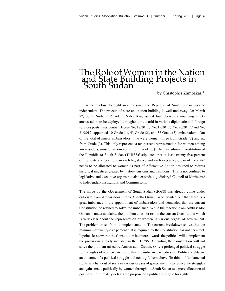## The Role of Women in the Nation and State Building Projects in South Sudan

by Chrstopher Zambakari\*

It has been close to eight months since the Republic of South Sudan became independent. The process of state and nation-building is well underway. On March  $7<sup>th</sup>$ , South Sudan's President, Salva Kiir, issued four decrees announcing ninety ambassadors to be deployed throughout the world in various diplomatic and foreign services posts. Presidential Decree No.  $18/2012$ , No.  $19/2012$ , No.  $20/2012$ , and No. 21/20124 appointed 10 Grade (1), 43 Grade (2), and 37 Grade (3) ambassadors. Out of the total of ninety ambassadors, nine were women: three from Grade (2) and six from Grade (3). This only represents a ten percent representation for women among ambassadors, most of whom come from Grade (3). The Transitional Constitution of the Republic of South Sudan  $(TCRSS)^5$  stipulates that at least twenty-five percent of the seats and positions in each legislative and each executive organ of the state<sup>6</sup> needs to be allocated to women as part of Affirmative Action designed to redress historical injustices created by history, customs and traditions.<sup>7</sup> This is not confined to legislative and executive organs but also extends to judiciary,<sup>8</sup> Council of Ministers,<sup>9</sup> to Independent Institutions and Commissions.10

The move by the Government of South Sudan (GOSS) has already come under criticism from Ambassador Sitona Abdella Osman, who pointed out that there is a great imbalance in the appointment of ambassadors and demanded that the current Constitution be revised to solve the imbalance. While the reaction from Ambassador Osman is understandable, the problem does not rest in the current Constitution which is very clear about the representation of women in various organs of government. The problem arises from its implementation. The current breakdown shows that the minimum of twenty-five percent that is required by the Constitution has not been met. It points less towards the Constitution but more towards the political will to implement the provisions already included in the TCRSS. Amending the Constitution will not solve the problem raised by Ambassador Osman. Only a prolonged political struggle for the rights of women can ensure that the imbalance is redressed. Political rights are an outcome of a political struggle and not a gift from above. To think of fundamental rights as a handout of seats in various organs of government is to reduce the struggles and gains made politically by women throughout South Sudan to a mere allocation of positions. It ultimately defeats the purpose of a political struggle for rights.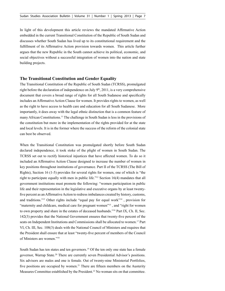In light of this development this article reviews the mandated Affirmative Action embedded in the current Transitional Constitution of the Republic of South Sudan and discusses whether South Sudan has lived up to its constitutional requirement and the fulfillment of its Affirmative Action provision towards women. This article further argues that the new Republic in the South cannot achieve its political, economic, and social objectives without a successful integration of women into the nation and state building projects.

#### **The Transitional Constitution and Gender Equality**

The Transitional Constitution of the Republic of South Sudan (TCRSS), promulgated right before the declaration of independence on July  $9<sup>th</sup>$ , 2011, is a very comprehensive document that covers a broad range of rights for all South Sudanese and specifically includes an Affirmative Action Clause for women. It provides rights to women, as well as the right to have access to health care and education for all South Sudanese. More importantly, it does away with the legal ethnic distinction that is a common feature of many African Constitutions.11 The challenge in South Sudan is less in the provisions of the constitution but more in the implementation of the rights provided for at the state and local levels. It is in the former where the success of the reform of the colonial state can best be observed.

When the Transitional Constitution was promulgated shortly before South Sudan declared independence, it took stoke of the plight of women in South Sudan. The TCRSS set out to rectify historical injustices that have affected women. To do so it included an Affirmative Action Clause designed to increase the number of women in key positions throughout institutions of governance. Part II of the TCRSS (The Bill of Rights), Section 16 (1-5) provides for several rights for women, one of which is "the right to participate equally with men in public life."12 Section 16(4) mandates that all government institutions must promote the following: "women participation in public life and their representation in the legislative and executive organs by at least twentyfive percent as an Affirmative Action to redress imbalances created by history, customs, and traditions."13 Other rights include "equal pay for equal work"14 , provision for "maternity and childcare, medical care for pregnant women"15 , and "right for women to own property and share in the estates of deceased husbands."16 Part IX, Ch. II, Sec. 142(3) provides that the National Government ensures that twenty-five percent of the seats on Independent Institutions and Commissions shall be allocated to women.17 Part VI, Ch. III, Sec. 108(3) deals with the National Council of Ministers and requires that the President shall ensure that at least "twenty-five percent of members of the Council of Ministers are women."18

South Sudan has ten states and ten governors.<sup>19</sup> Of the ten only one state has a female governor, Warrap State.20 There are currently seven Presidential Advisor's positions. Six advisors are males and one is female. Out of twenty-nine Ministerial Portfolios, five positions are occupied by women.<sup>21</sup> There are fifteen members on the Austerity Measures Committee established by the President.<sup>22</sup> No woman sits on that committee.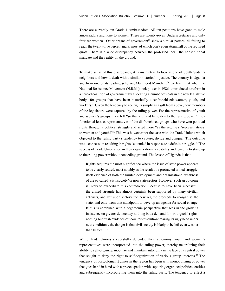There are currently ten Grade 1 Ambassadors. All ten positions have gone to male ambassadors and none to women. There are twenty-seven Undersecretaries and only four are women. Other organs of government<sup>23</sup> show a similar pattern, all failing to reach the twenty-five percent mark, most of which don't even attain half of the required quota. There is a wide discrepancy between the professed ideal, the constitutional mandate and the reality on the ground.

To make sense of this discrepancy, it is instructive to look at one of South Sudan's neighbors and how it dealt with a similar historical injustice. The country is Uganda and from one of its leading scholars, Mahmood Mamdani,<sup>24</sup> we learn that when the National Resistance Movement (N.R.M.) took power in 1986 it introduced a reform in a "broad coalition of government by allocating a number of seats in the new legislative body" for groups that have been historically disenfranchised: women, youth, and workers.<sup>25</sup> Given the tendency to see rights simply as a gift from above, new members of the legislature were captured by the ruling power. For the representative of youth and women's groups, they felt "so thankful and beholden to the ruling power" they functioned less as representatives of the disfranchised groups who have won political rights through a political struggle and acted more "as the regime's 'representatives' to women and youth!"26 This was however not the case with the Trade Unions which objected to the ruling party's tendency to capture, divide and conquer. The outcome was a concession resulting in rights "extended in response to a definite struggle."<sup>27</sup> The success of Trade Unions lied in their organizational capability and tenacity to stand up to the ruling power without conceding ground. The lesson of Uganda is that:

Rights acquires the most significance where the issue of state power appears to be clearly settled, most notably as the result of a protracted armed struggle, itself evidence of both the limited development and organisational weakness of the so-called 'civil society' or non-state sectors. However, such an outcome is likely to exacerbate this contradiction, because to have been successful, the armed struggle has almost certainly been supported by many civilian activists, and yet upon victory the new regime proceeds to reorganise the state, and only from that standpoint to develop an agenda for social change. If this is combined with a hegemonic perspective that sees in the growing insistence on greater democracy nothing but a demand for 'bourgeois' rights, nothing but fresh evidence of 'counter-revolution' rearing its ugly head under new conditions, the danger is that civil society is likely to be left even weaker than before!"28

While Trade Unions successfully defended their autonomy, youth and women's representatives were incorporated into the ruling power, thereby neutralizing their ability to self-organize, mobilize and maintain autonomy in the face of a central power that sought to deny the right to self-organization of various group interests.29 The tendency of postcolonial régimes in the region has been with monopolizing of power that goes hand in hand with a preoccupation with capturing organized political entities and subsequently incorporating them into the ruling party. The tendency to effect a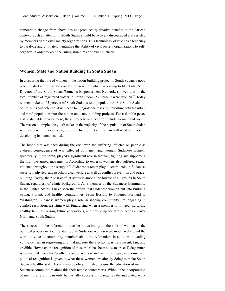democratic change from above has not produced qualitative benefits in the African context. Such an attempt in South Sudan should be actively discouraged and resisted by members of the civil society organizations. This technology of rule has a tendency to paralyze and ultimately neutralize the ability of civil society organizations to selforganize in order to keep the ruling structures of power in check.

#### **Women, State and Nation Building In South Sudan**

In discussing the role of women in the nation-building project in South Sudan, a good place to start is the statistics on the referendum, which according to Ms. Lula Riziq, Director of the South Sudan Women's Empowerment Network, showed that of the total number of registered voters in South Sudan, 52 percent were women.<sup>30</sup> Today women make up 65 percent of South Sudan's total population.<sup>31</sup> For South Sudan to optimize its full potential it will need to integrate the mass by straddling both the urban and rural population into the nation and state building projects. For a durable peace and sustainable development, these projects will need to include women and youth. The reason is simple: the youth make up the majority of the population of South Sudan with 72 percent under the age of 30.<sup>32</sup> In short, South Sudan will need to invest in developing its human capital.

The blood that was shed during the civil war, the suffering inflicted on people as a direct consequence of war, affected both men and women. Sudanese women, specifically in the south, played a significant role in the war, fighting and supporting the multiple armed movements. According to experts, women also suffered sexual violence throughout the struggle.33 Sudanese women play a central role in Sudanese society, in physical and psychological welfare as well as conflict prevention and peacebuilding. Today, their post-conflict status is among the lowest of all groups in South Sudan, regardless of ethnic background. As a member of the Sudanese Community in the United States, I have seen the efforts that Sudanese women put into building strong, vibrant, and healthy communities. From Boston, to Phoenix, Portland to Washington, Sudanese women play a role in shaping community life, engaging in conflict resolution, assisting with fundraising when a member is in need, nurturing healthy families, raising future generations, and providing for family needs all over North and South Sudan.

The success of the referendum also bears testimony to the role of women in the political process in South Sudan. South Sudanese women were mobilized around the world to educate community members about the referendum in addition to leading voting centers in registering and making sure the election was transparent, fair, and credible. However, the recognition of these roles has been slow to arise. Today, much is demanded from the South Sudanese women and yet little legal, economic and political recognition is given to what these women are already doing to make South Sudan a healthy state. A sustainable policy will also require the education of men in Sudanese communities alongside their female counterparts. Without the incorporation of men, the reform can only be partially successful. It requires the integrated work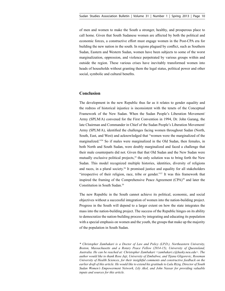of men and women to make the South a stronger, healthy, and prosperous place to call home. Given that South Sudanese women are affected by both the political and economic forces, a constructive effort must engage women in the Post-CPA era for building the new nation in the south. In regions plagued by conflict, such as Southern Sudan, Eastern and Western Sudan, women have been subjects to some of the worst marginalization, oppression, and violence perpetrated by various groups within and outside the region. These various crises have inevitably transformed women into heads of households without granting them the legal status, political power and other social, symbolic and cultural benefits.

### **Conclusion**

The development in the new Republic thus far as it relates to gender equality and the redress of historical injustice is inconsistent with the tenets of the Conceptual Framework of the New Sudan. When the Sudan People's Liberation Movement/ Army (SPLM/A) convened for the First Convention in 1994, Dr. John Garang, the late Chairman and Commander in Chief of the Sudan People's Liberation Movement/ Army (SPLM/A), identified the challenges facing women throughout Sudan (North, South, East, and West) and acknowledged that "women were the marginalized of the marginalized."34 So if males were marginalized in the Old Sudan, then females, in both North and South Sudan, were doubly marginalized and faced a challenge that their male counterparts did not. Given that that Old Sudan and the New Sudan were mutually exclusive political projects, $35$  the only solution was to bring forth the New Sudan. This model recognized multiple histories, identities, diversity of religions and races, in a plural society.<sup>36</sup> It promised justice and equality for all stakeholders "irrespective of their religion, race, tribe or gender."37 It was this framework that inspired the framing of the Comprehensive Peace Agreement (CPA)<sup>38</sup> and later the Constitution in South Sudan.39

The new Republic in the South cannot achieve its political, economic, and social objectives without a successful integration of women into the nation-building project. Progress in the South will depend to a larger extent on how the state integrates the mass into the nation-building project. The success of the Republic hinges on its ability to democratize the nation-building process by integrating and educating its population with a special emphasis on women and the youth, the groups that make up the majority of the population in South Sudan.

*\* Christopher Zambakari is a Doctor of Law and Policy (LP.D.), Northeastern University, Boston, Massachusetts and a Rotary Peace Fellow (2014-15), University of Queensland, Australia. He can be reached at: Christopher Zambakari <zambakari.c@husky.neu.edu>. The author would like to thank Rose Jaji, University of Zimbabwe, and Tijana Gligorevic, Roseman University of Health Sciences, for their insightful comments and constructive feedback on the earlier draft of this article. He would like to extend his gratitude to Lula Riziq, Director of South Sudan Women's Empowerment Network, Lily Akol, and John Nassar for providing valuable inputs and sources for this article.*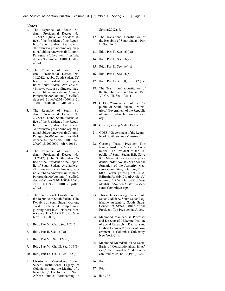#### Notes

- 1. The Republic of South Sudan, "Presidential Decree No. 18/2012.," (Juba, South Sudan: Office of the President of the Republic of South Sudan. Available at: <http://www.goss-online.org/magnoliaPublic/en/news/mainColumn-Paragraphs/00/content\_files/file/ decree%20no%20180001.pdf>, 2012).
- 2. The Republic of South Sudan, "Presidential Decree No. 19/2012," (Juba, South Sudan: Office of the President of the Republic of South Sudan. Available at: <http://www.goss-online.org/magnoliaPublic/en/news/mainColumn-Paragraphs/00/content\_files/file0/ decree%20no.%20190001.%20 190001.%20190001.pdf> 2012).
- 3. The Republic of South Sudan, "Presidential Decree No. 20/2012," (Juba, South Sudan: Office of the President of the Republic of South Sudan. Available at: <http://www.goss-online.org/magnoliaPublic/en/news/mainColumn-Paragraphs/00/content\_files/file1/ decree%20no.%20200001.%20 200001.%20200001.pdf>, 2012).
- 4. The Republic of South Sudan, "Presidential Decree No. 21/2012," (Juba, South Sudan: Office of the President of the Republic of South Sudan. Available at: <http://www.goss-online.org/magnoliaPublic/en/news/mainColumn-Paragraphs/00/content\_files/file2/ decree%20no.%20210001-1.%20 210001-1.%20210001-1.pdf>, 2012).
- 5. The Transitional Constitution of the Republic of South Sudan, (The Republic of South Sudan: Gurtong Trust: available at: <http://www. gurtong.net/LinkClick.aspx?fileticket=SHBZGArJ8Ks%3d&tabid=106>, 2011).
- 6. Ibid., Part XI, Ch. I, Sec. 162 (7)
- 7. Ibid., Part II, Sec. 16(4a)
- 8. Ibid., Part VII, Sec. 122 (6)
- 9. Ibid., Part VI, Ch. III, Sec. 108 (3)
- 10. Ibid., Part IX, Ch. II, Sec. 142 (3)
- 11. Christopher Zambakari, "South Sudan: Institutional Legacy of Colonialism and the Making of a New State," The Journal of North African Studies Forthcoming in

Spring(2012): 6.

- 12. The Transitional Constitution of the Republic of South Sudan., Part II, Sec. 16 (3)
- 13. Ibid., Part II, Sec. 16 (4a)
- 14. Ibid., Part II, Sec. 16(2)
- 15. Ibid., Part II, Sec. 16(4c)
- 16. Ibid., Part II, Sec. 16(5)
- 17. Ibid., Part IX, Ch. II, Sec. 142 (3)
- 18. The Transitional Constitution of the Republic of South Sudan., Part VI, Ch. III, Sec. 108(3)
- 19. GOSS, "Government of the Republic of South Sudan - Ministries," Government of the Republic of South Sudan, http://www.goss. org/.
- 20. Gov. Nyandeng Malek Deliec
- 21. GOSS, "Government of the Republic of South Sudan - Ministries".
- 22. Gurtong Trust, "President Kiir Names Austerity Measures Committee: The President of the Republic of South Sudan H.E. Salva Kiir Mayardit has issued a presidential order No. 08/2012 for the formation of the Austerity Measures Committee," Gurtong Trust, http://www.gurtong.net/ECM/ Editorial/tabid/124/ctl/ArticleView/mid/519/articleId/6520/President-Kiir-Names-Austerity-Measures-Committee.aspx.
- 23. This includes among others: South Sudan Judiciary, South Sudan Legislative Assembly, South Sudan Council of States, Office of the President, Top Presidential Aides.
- 24. Mahmood Mamdani is Professor and Director of Makerere Institute of Social Research in Kampala and Herbert Lehman Professor of Government at Columbia University, New York City.
- 25. Mahmood Mamdani, "The Social Basis of Constitutionalism in Africa," The Journal of Modern African Studies 28, no. 3 (1990): 370.
- 26. Ibid.
- 27. Ibid.
- 28. ibid., 371.